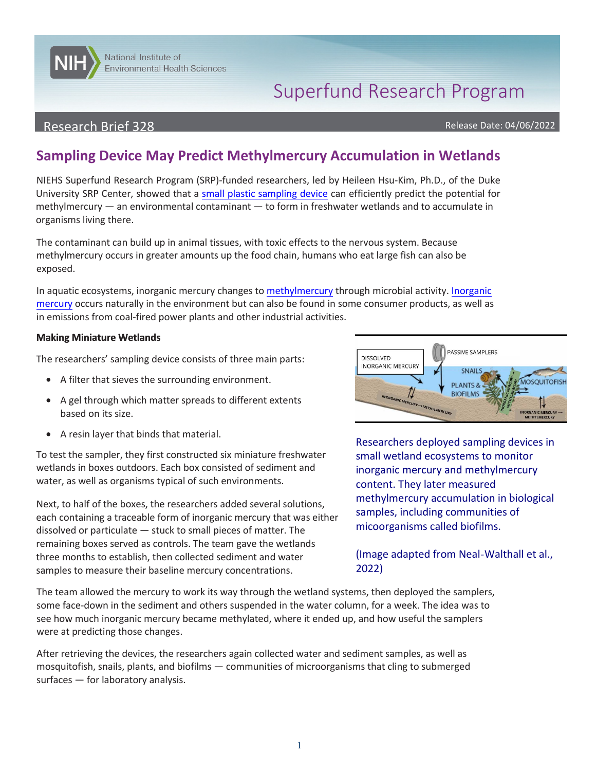# Superfund Research Program

### Research Brief 328 and the contract of the contract of the contract of the contract of the contract of the contract of the contract of the contract of the contract of the contract of the contract of the contract of the con

**NITELY** National Institute of

Environmental Health Sciences

# **Sampling Device May Predict Methylmercury Accumulation in Wetlands**

NIEHS Superfund Research Program (SRP)-funded researchers, led by Heileen Hsu-Kim, Ph.D., of the Duke University SRP Center, showed that a small [plastic sampling device](https://pubs.acs.org/doi/10.1021/acs.est.1c06796) can efficiently predict the potential for methylmercury — an environmental contaminant — to form in freshwater wetlands and to accumulate in organisms living there.

The contaminant can build up in animal tissues, with toxic effects to the nervous system. Because methylmercury occurs in greater amounts up the food chain, humans who eat large fish can also be exposed.

In aquatic ecosystems, inorganic mercury changes to [methylmercury t](https://www.epa.gov/mercury/how-people-are-exposed-mercury#methylmercury)hrough microbial activity[. Inorganic](https://www.epa.gov/mercury/basic-information-about-mercury)  [mercury](https://www.epa.gov/mercury/basic-information-about-mercury) occurs naturally in the environment but can also be found in some consumer products, as well as in emissions from coal-fired power plants and other industrial activities.

#### **Making Miniature Wetlands**

The researchers' sampling device consists of three main parts:

- A filter that sieves the surrounding environment.
- A gel through which matter spreads to different extents based on its size.
- A resin layer that binds that material.

**graphene**  To test the sampler, they first constructed six miniature freshwater **surface**  wetlands in boxes outdoors. Each box consisted of sediment and water, as well as organisms typical of such environments.

dissolved or particulate — stuck to small pieces of matter. The<br>remaining boxes served as controls. The team gave the wetlands **Cylinder**  three months to establish, then collected sediment and water samples to measure their baseline mercury concentrations. ' ' ' ' ', ', ', **1rafted** '  $\mathsf{w}$ Next, to half of the boxes, the researchers added several solutions, Next, to half of the boxes, the researchers added several solutions,<br>each containing a traceable form of inorganic mercury that was either<br>dissolved or particulate — stuck to small pieces of matter. The micoorganisms calle



**hortlims.** Researchers deployed sampling devices in small wetland ecosystems to monitor inorganic mercury and methylmercury content. They later measured

(Image adapted from Neal-Walthall et al., 2022)

The team allowed the mercury to work its way through the wetland systems, then deployed the samplers, some face-down in the sediment and others suspended in the water column, for a week. The idea was to see how much inorganic mercury became methylated, where it ended up, and how useful the samplers were at predicting those changes.

After retrieving the devices, the researchers again collected water and sediment samples, as well as mosquitofish, snails, plants, and biofilms — communities of microorganisms that cling to submerged surfaces — for laboratory analysis.